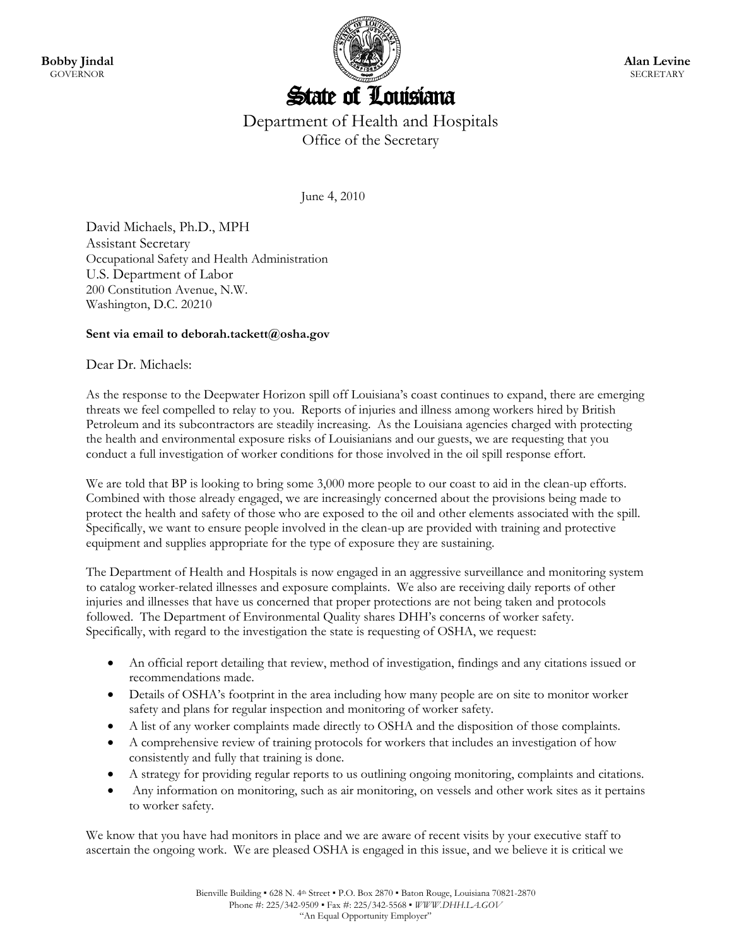

## Department of Health and Hospitals Office of the Secretary

June 4, 2010

David Michaels, Ph.D., MPH Assistant Secretary Occupational Safety and Health Administration U.S. Department of Labor 200 Constitution Avenue, N.W. Washington, D.C. 20210

## **Sent via email to deborah.tackett@osha.gov**

## Dear Dr. Michaels:

As the response to the Deepwater Horizon spill off Louisiana's coast continues to expand, there are emerging threats we feel compelled to relay to you. Reports of injuries and illness among workers hired by British Petroleum and its subcontractors are steadily increasing. As the Louisiana agencies charged with protecting the health and environmental exposure risks of Louisianians and our guests, we are requesting that you conduct a full investigation of worker conditions for those involved in the oil spill response effort.

We are told that BP is looking to bring some 3,000 more people to our coast to aid in the clean-up efforts. Combined with those already engaged, we are increasingly concerned about the provisions being made to protect the health and safety of those who are exposed to the oil and other elements associated with the spill. Specifically, we want to ensure people involved in the clean-up are provided with training and protective equipment and supplies appropriate for the type of exposure they are sustaining.

The Department of Health and Hospitals is now engaged in an aggressive surveillance and monitoring system to catalog worker-related illnesses and exposure complaints. We also are receiving daily reports of other injuries and illnesses that have us concerned that proper protections are not being taken and protocols followed. The Department of Environmental Quality shares DHH's concerns of worker safety. Specifically, with regard to the investigation the state is requesting of OSHA, we request:

- An official report detailing that review, method of investigation, findings and any citations issued or recommendations made.
- Details of OSHA's footprint in the area including how many people are on site to monitor worker safety and plans for regular inspection and monitoring of worker safety.
- A list of any worker complaints made directly to OSHA and the disposition of those complaints.
- A comprehensive review of training protocols for workers that includes an investigation of how consistently and fully that training is done.
- A strategy for providing regular reports to us outlining ongoing monitoring, complaints and citations.
- Any information on monitoring, such as air monitoring, on vessels and other work sites as it pertains to worker safety.

We know that you have had monitors in place and we are aware of recent visits by your executive staff to ascertain the ongoing work. We are pleased OSHA is engaged in this issue, and we believe it is critical we